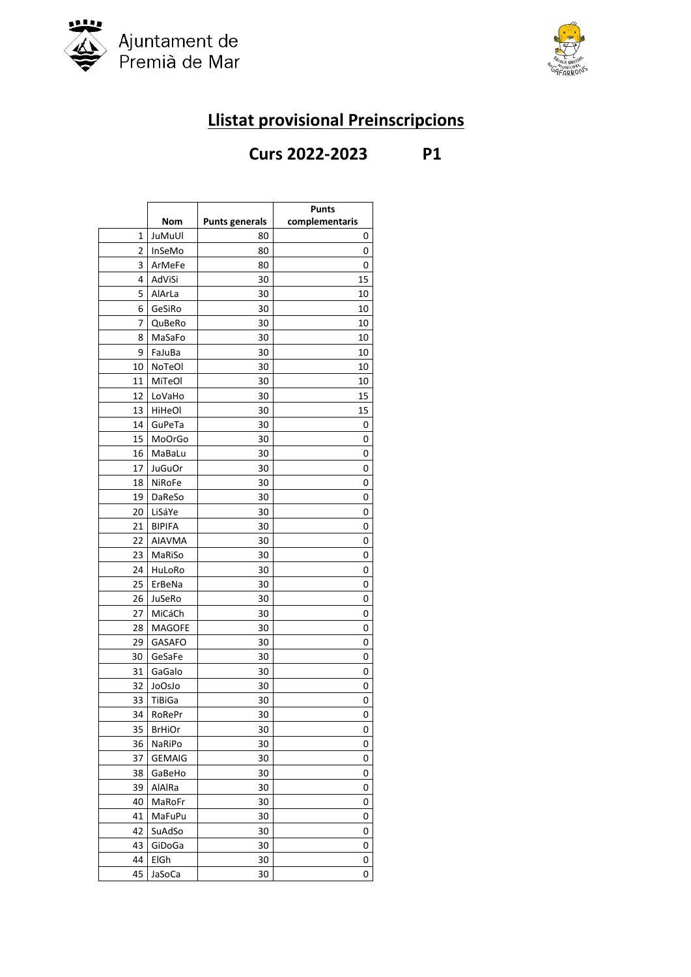



## **Llistat provisional Preinscripcions**

## **Curs 2022-2023 P1**

|          |                         |                       | <b>Punts</b>   |
|----------|-------------------------|-----------------------|----------------|
|          | Nom                     | <b>Punts generals</b> | complementaris |
| 1        | JuMuUl                  | 80                    | 0              |
| 2        | InSeMo                  | 80                    | 0              |
| 3        | ArMeFe                  | 80                    | 0              |
| 4        | AdViSi                  | 30                    | 15             |
| 5        | AlArLa                  | 30                    | 10             |
| 6        | GeSiRo                  | 30                    | 10             |
| 7        | QuBeRo                  | 30                    | 10             |
| 8        | MaSaFo                  | 30                    | 10             |
| 9        | FaJuBa                  | 30                    | 10             |
| 10       | NoTeOl                  | 30                    | 10             |
| 11       | MiTeOl                  | 30                    | 10             |
| 12       | LoVaHo                  | 30                    | 15             |
| 13       | HiHeOl                  | 30                    | 15             |
| 14       | GuPeTa                  | 30                    | 0              |
| 15       | MoOrGo                  | 30                    | 0              |
| 16       | MaBaLu                  | 30                    | 0              |
| 17       | <b>JuGuOr</b>           | 30                    | 0              |
| 18       | <b>NiRoFe</b>           | 30                    | 0              |
| 19       | DaReSo                  | 30                    | 0              |
| 20       | LiSáYe                  | 30                    | 0              |
| 21       | <b>BIPIFA</b>           | 30                    | 0              |
| 22       | AIAVMA                  | 30                    | 0              |
| 23       | MaRiSo                  | 30                    | 0              |
| 24       | HuLoRo                  | 30                    | 0              |
| 25       | ErBeNa                  | 30                    | 0              |
| 26       | JuSeRo                  | 30                    | 0              |
| 27       | MiCáCh                  | 30                    | 0              |
| 28       | <b>MAGOFE</b>           | 30                    | 0              |
| 29       | <b>GASAFO</b>           | 30                    | 0              |
| 30       | GeSaFe                  | 30                    | 0              |
| 31       | GaGalo                  | 30                    | 0              |
| 32       | JoOsJo                  | 30                    | 0              |
| 33<br>34 | TiBiGa                  | 30<br>30              | 0<br>0         |
| 35       | RoRePr<br><b>BrHiOr</b> | 30                    | 0              |
| 36       | NaRiPo                  | 30                    | 0              |
| 37       | <b>GEMAIG</b>           | 30                    | 0              |
| 38       | GaBeHo                  | 30                    | 0              |
| 39       | AlAlRa                  | 30                    | 0              |
| 40       | MaRoFr                  | 30                    | 0              |
| 41       | MaFuPu                  | 30                    | 0              |
| 42       | SuAdSo                  | 30                    | 0              |
| 43       | GiDoGa                  | 30                    | 0              |
| 44       | ElGh                    | 30                    | 0              |
| 45       | JaSoCa                  | 30                    | 0              |